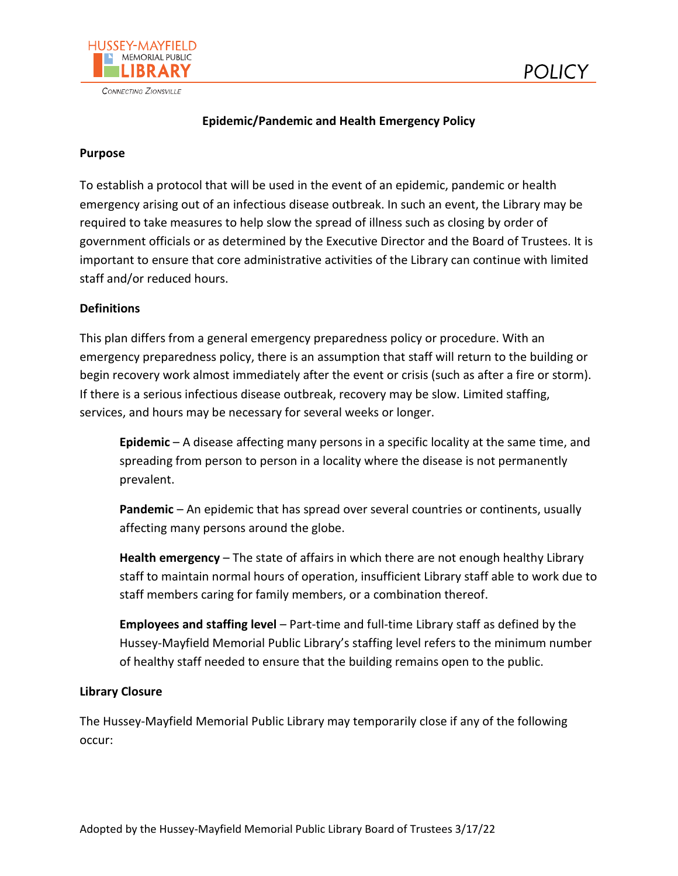



# **Epidemic/Pandemic and Health Emergency Policy**

#### **Purpose**

To establish a protocol that will be used in the event of an epidemic, pandemic or health emergency arising out of an infectious disease outbreak. In such an event, the Library may be required to take measures to help slow the spread of illness such as closing by order of government officials or as determined by the Executive Director and the Board of Trustees. It is important to ensure that core administrative activities of the Library can continue with limited staff and/or reduced hours.

#### **Definitions**

This plan differs from a general emergency preparedness policy or procedure. With an emergency preparedness policy, there is an assumption that staff will return to the building or begin recovery work almost immediately after the event or crisis (such as after a fire or storm). If there is a serious infectious disease outbreak, recovery may be slow. Limited staffing, services, and hours may be necessary for several weeks or longer.

**Epidemic** – A disease affecting many persons in a specific locality at the same time, and spreading from person to person in a locality where the disease is not permanently prevalent.

**Pandemic** – An epidemic that has spread over several countries or continents, usually affecting many persons around the globe.

**Health emergency** – The state of affairs in which there are not enough healthy Library staff to maintain normal hours of operation, insufficient Library staff able to work due to staff members caring for family members, or a combination thereof.

**Employees and staffing level** – Part-time and full-time Library staff as defined by the Hussey-Mayfield Memorial Public Library's staffing level refers to the minimum number of healthy staff needed to ensure that the building remains open to the public.

#### **Library Closure**

The Hussey-Mayfield Memorial Public Library may temporarily close if any of the following occur: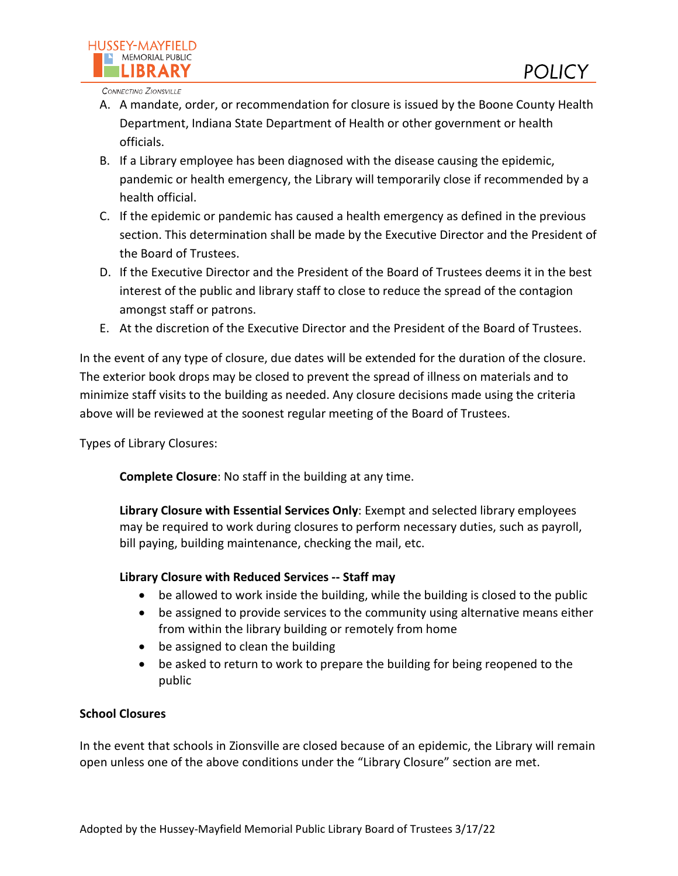

CONNECTING ZIONSVILLE

- A. A mandate, order, or recommendation for closure is issued by the Boone County Health Department, Indiana State Department of Health or other government or health officials.
- B. If a Library employee has been diagnosed with the disease causing the epidemic, pandemic or health emergency, the Library will temporarily close if recommended by a health official.
- C. If the epidemic or pandemic has caused a health emergency as defined in the previous section. This determination shall be made by the Executive Director and the President of the Board of Trustees.
- D. If the Executive Director and the President of the Board of Trustees deems it in the best interest of the public and library staff to close to reduce the spread of the contagion amongst staff or patrons.
- E. At the discretion of the Executive Director and the President of the Board of Trustees.

In the event of any type of closure, due dates will be extended for the duration of the closure. The exterior book drops may be closed to prevent the spread of illness on materials and to minimize staff visits to the building as needed. Any closure decisions made using the criteria above will be reviewed at the soonest regular meeting of the Board of Trustees.

Types of Library Closures:

**Complete Closure**: No staff in the building at any time.

**Library Closure with Essential Services Only**: Exempt and selected library employees may be required to work during closures to perform necessary duties, such as payroll, bill paying, building maintenance, checking the mail, etc.

# **Library Closure with Reduced Services -- Staff may**

- be allowed to work inside the building, while the building is closed to the public
- be assigned to provide services to the community using alternative means either from within the library building or remotely from home
- be assigned to clean the building
- be asked to return to work to prepare the building for being reopened to the public

# **School Closures**

In the event that schools in Zionsville are closed because of an epidemic, the Library will remain open unless one of the above conditions under the "Library Closure" section are met.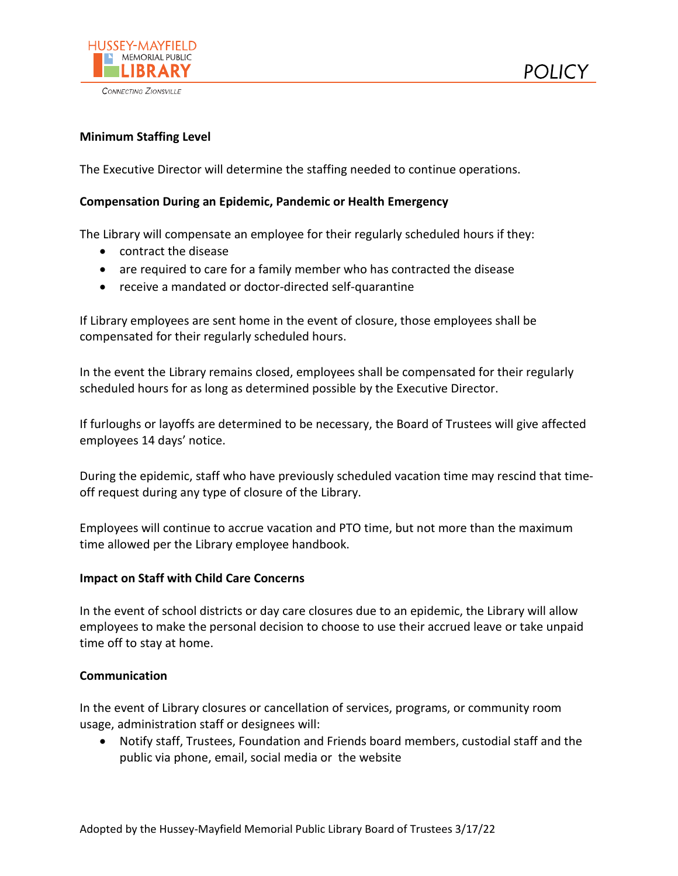

CONNECTING ZIONSVILLE



### **Minimum Staffing Level**

The Executive Director will determine the staffing needed to continue operations.

#### **Compensation During an Epidemic, Pandemic or Health Emergency**

The Library will compensate an employee for their regularly scheduled hours if they:

- contract the disease
- are required to care for a family member who has contracted the disease
- receive a mandated or doctor-directed self-quarantine

If Library employees are sent home in the event of closure, those employees shall be compensated for their regularly scheduled hours.

In the event the Library remains closed, employees shall be compensated for their regularly scheduled hours for as long as determined possible by the Executive Director.

If furloughs or layoffs are determined to be necessary, the Board of Trustees will give affected employees 14 days' notice.

During the epidemic, staff who have previously scheduled vacation time may rescind that timeoff request during any type of closure of the Library.

Employees will continue to accrue vacation and PTO time, but not more than the maximum time allowed per the Library employee handbook.

## **Impact on Staff with Child Care Concerns**

In the event of school districts or day care closures due to an epidemic, the Library will allow employees to make the personal decision to choose to use their accrued leave or take unpaid time off to stay at home.

#### **Communication**

In the event of Library closures or cancellation of services, programs, or community room usage, administration staff or designees will:

• Notify staff, Trustees, Foundation and Friends board members, custodial staff and the public via phone, email, social media or the website